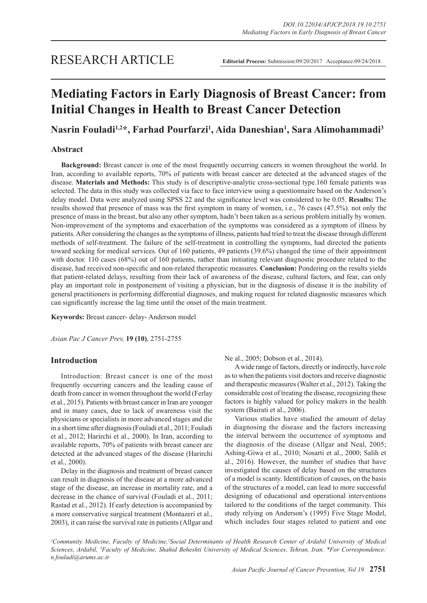# **Mediating Factors in Early Diagnosis of Breast Cancer: from Initial Changes in Health to Breast Cancer Detection**

## **Nasrin Fouladi1,2\*, Farhad Pourfarzi1 , Aida Daneshian1 , Sara Alimohammadi3**

## **Abstract**

**Background:** Breast cancer is one of the most frequently occurring cancers in women throughout the world. In Iran, according to available reports, 70% of patients with breast cancer are detected at the advanced stages of the disease. **Materials and Methods:** This study is of descriptive-analytic cross-sectional type.160 female patients was selected. The data in this study was collected via face to face interview using a questionnaire based on the Anderson's delay model. Data were analyzed using SPSS 22 and the significance level was considered to be 0.05. **Results:** The results showed that presence of mass was the first symptom in many of women, i.e., 76 cases (47.5%). not only the presence of mass in the breast, but also any other symptom, hadn't been taken as a serious problem initially by women. Non-improvement of the symptoms and exacerbation of the symptoms was considered as a symptom of illness by patients. After considering the changes as the symptoms of illness, patients had tried to treat the disease through different methods of self-treatment. The failure of the self-treatment in controlling the symptoms, had directed the patients toward seeking for medical services. Out of 160 patients, 49 patients (39.6%) changed the time of their appointment with doctor. 110 cases (68%) out of 160 patients, rather than initiating relevant diagnostic procedure related to the disease, had received non-specific and non-related therapeutic measures. **Conclusion:** Pondering on the results yields that patient-related delays, resulting from their lack of awareness of the disease, cultural factors, and fear, can only play an important role in postponement of visiting a physician, but in the diagnosis of disease it is the inability of general practitioners in performing differential diagnoses, and making request for related diagnostic measures which can significantly increase the lag time until the onset of the main treatment.

**Keywords:** Breast cancer- delay- Anderson model

*Asian Pac J Cancer Prev,* **19 (10)**, 2751-2755

## **Introduction**

Introduction: Breast cancer is one of the most frequently occurring cancers and the leading cause of death from cancer in women throughout the world (Ferlay et al., 2015). Patients with breast cancer in Iran are younger and in many cases, due to lack of awareness visit the physicians or specialists in more advanced stages and die in a short time after diagnosis (Fouladi et al., 2011; Fouladi et al., 2012; Harirchi et al., 2000). In Iran, according to available reports, 70% of patients with breast cancer are detected at the advanced stages of the disease (Harirchi et al., 2000).

Delay in the diagnosis and treatment of breast cancer can result in diagnosis of the disease at a more advanced stage of the disease, an increase in mortality rate, and a decrease in the chance of survival (Fouladi et al., 2011; Rastad et al., 2012). If early detection is accompanied by a more conservative surgical treatment (Montazeri et al., 2003), it can raise the survival rate in patients (Allgar and Ne al., 2005; Dobson et al., 2014).

A wide range of factors, directly or indirectly, have role as to when the patients visit doctors and receive diagnostic and therapeutic measures (Walter et al., 2012). Taking the considerable cost of treating the disease, recognizing these factors is highly valued for policy makers in the health system (Bairati et al., 2006).

Various studies have studied the amount of delay in diagnosing the disease and the factors increasing the interval between the occurrence of symptoms and the diagnosis of the disease (Allgar and Neal, 2005; Ashing-Giwa et al., 2010; Nosarti et al., 2000; Salih et al., 2016). However, the number of studies that have investigated the causes of delay based on the structures of a model is scanty. Identification of causes, on the basis of the structures of a model, can lead to more successful designing of educational and operational interventions tailored to the conditions of the target community. This study relying on Anderson's (1995) Five Stage Model, which includes four stages related to patient and one

*1 Community Medicine, Faculty of Medicine,2 Social Determinants of Health Research Center of Ardabil University of Medical Sciences, Ardabil, 3 Faculty of Medicine, Shahid Beheshti University of Medical Sciences, Tehran, Iran. \*For Correspondence: n.fouladi@arums.ac.ir*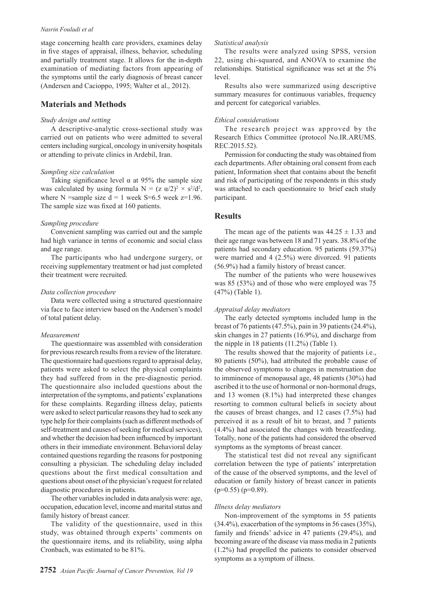#### *Nasrin Fouladi et al*

stage concerning health care providers, examines delay in five stages of appraisal, illness, behavior, scheduling and partially treatment stage. It allows for the in-depth examination of mediating factors from appearing of the symptoms until the early diagnosis of breast cancer (Andersen and Cacioppo, 1995; Walter et al., 2012).

### **Materials and Methods**

#### *Study design and setting*

A descriptive-analytic cross-sectional study was carried out on patients who were admitted to several centers including surgical, oncology in university hospitals or attending to private clinics in Ardebil, Iran.

#### *Sampling size calculation*

Taking significance level  $\alpha$  at 95% the sample size was calculated by using formula  $N = (z \alpha/2)^2 \times s^2/d^2$ , where N = sample size  $d = 1$  week S=6.5 week z=1.96. The sample size was fixed at 160 patients.

#### *Sampling procedure*

Convenient sampling was carried out and the sample had high variance in terms of economic and social class and age range.

The participants who had undergone surgery, or receiving supplementary treatment or had just completed their treatment were recruited.

#### *Data collection procedure*

Data were collected using a structured questionnaire via face to face interview based on the Andersen's model of total patient delay.

#### *Measurement*

The questionnaire was assembled with consideration for previous research results from a review of the literature. The questionnaire had questions regard to appraisal delay, patients were asked to select the physical complaints they had suffered from in the pre-diagnostic period. The questionnaire also included questions about the interpretation of the symptoms, and patients' explanations for these complaints. Regarding illness delay, patients were asked to select particular reasons they had to seek any type help for their complaints (such as different methods of self-treatment and causes of seeking for medical services), and whether the decision had been influenced by important others in their immediate environment. Behavioral delay contained questions regarding the reasons for postponing consulting a physician. The scheduling delay included questions about the first medical consultation and questions about onset of the physician's request for related diagnostic procedures in patients.

The other variables included in data analysis were: age, occupation, education level, income and marital status and family history of breast cancer.

The validity of the questionnaire, used in this study, was obtained through experts' comments on the questionnaire items, and its reliability, using alpha Cronbach, was estimated to be 81%.

#### *Statistical analysis*

The results were analyzed using SPSS, version 22, using chi-squared, and ANOVA to examine the relationships. Statistical significance was set at the 5% level.

Results also were summarized using descriptive summary measures for continuous variables, frequency and percent for categorical variables.

#### *Ethical considerations*

The research project was approved by the Research Ethics Committee (protocol No.IR.ARUMS. REC.2015.52).

Permission for conducting the study was obtained from each departments. After obtaining oral consent from each patient, Information sheet that contains about the benefit and risk of participating of the respondents in this study was attached to each questionnaire to brief each study participant.

## **Results**

The mean age of the patients was  $44.25 \pm 1.33$  and their age range was between 18 and 71 years. 38.8% of the patients had secondary education. 95 patients (59.37%) were married and 4 (2.5%) were divorced. 91 patients (56.9%) had a family history of breast cancer.

The number of the patients who were housewives was 85 (53%) and of those who were employed was 75 (47%) (Table 1).

#### *Appraisal delay mediators*

The early detected symptoms included lump in the breast of 76 patients (47.5%), pain in 39 patients (24.4%), skin changes in 27 patients (16.9%), and discharge from the nipple in 18 patients (11.2%) (Table 1).

The results showed that the majority of patients i.e., 80 patients (50%), had attributed the probable cause of the observed symptoms to changes in menstruation due to imminence of menopausal age, 48 patients (30%) had ascribed it to the use of hormonal or non-hormonal drugs, and 13 women (8.1%) had interpreted these changes resorting to common cultural beliefs in society about the causes of breast changes, and 12 cases (7.5%) had perceived it as a result of hit to breast, and 7 patients (4.4%) had associated the changes with breastfeeding. Totally, none of the patients had considered the observed symptoms as the symptoms of breast cancer.

The statistical test did not reveal any significant correlation between the type of patients' interpretation of the cause of the observed symptoms, and the level of education or family history of breast cancer in patients  $(p=0.55)$   $(p=0.89)$ .

#### *Illness delay mediators*

Non-improvement of the symptoms in 55 patients (34.4%), exacerbation of the symptoms in 56 cases (35%), family and friends' advice in 47 patients (29.4%), and becoming aware of the disease via mass media in 2 patients (1.2%) had propelled the patients to consider observed symptoms as a symptom of illness.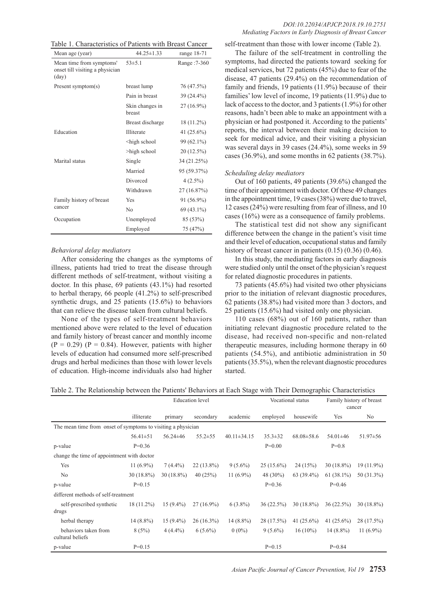Table 1. Characteristics of Patients with Breast Cancer

| Mean age (year)                                                      | $44.25 \pm 1.33$                                  | range $18-71$ |
|----------------------------------------------------------------------|---------------------------------------------------|---------------|
| Mean time from symptoms'<br>onset till visiting a physician<br>(day) | $53\pm5.1$                                        | Range: 7-360  |
| Present symptom(s)                                                   | breast lump                                       | 76 (47.5%)    |
|                                                                      | Pain in breast                                    | 39 (24.4%)    |
|                                                                      | Skin changes in<br>breast                         | $27(16.9\%)$  |
|                                                                      | Breast discharge                                  | 18 (11.2%)    |
| Education                                                            | Illiterate                                        | 41 $(25.6\%)$ |
|                                                                      | <high school<="" td=""><td>99 (62.1%)</td></high> | 99 (62.1%)    |
|                                                                      | >high school                                      | 20 (12.5%)    |
| Marital status                                                       | Single                                            | 34 (21.25%)   |
|                                                                      | Married                                           | 95 (59.37%)   |
|                                                                      | Divorced                                          | $4(2.5\%)$    |
|                                                                      | Withdrawn                                         | 27 (16.87%)   |
| Family history of breast                                             | Yes                                               | 91 (56.9%)    |
| cancer                                                               | No                                                | $69(43.1\%)$  |
| Occupation                                                           | Unemployed                                        | 85 (53%)      |
|                                                                      | Employed                                          | 75 (47%)      |

#### *Behavioral delay mediators*

After considering the changes as the symptoms of illness, patients had tried to treat the disease through different methods of self-treatment, without visiting a doctor. In this phase, 69 patients (43.1%) had resorted to herbal therapy, 66 people (41.2%) to self-prescribed synthetic drugs, and 25 patients (15.6%) to behaviors that can relieve the disease taken from cultural beliefs.

None of the types of self-treatment behaviors mentioned above were related to the level of education and family history of breast cancer and monthly income  $(P = 0.29)$   $(P = 0.84)$ . However, patients with higher levels of education had consumed more self-prescribed drugs and herbal medicines than those with lower levels of education. High-income individuals also had higher

#### *DOI:10.22034/APJCP.2018.19.10.2751 Mediating Factors in Early Diagnosis of Breast Cancer*

self-treatment than those with lower income (Table 2).

The failure of the self-treatment in controlling the symptoms, had directed the patients toward seeking for medical services, but 72 patients (45%) due to fear of the disease, 47 patients (29.4%) on the recommendation of family and friends, 19 patients (11.9%) because of their families' low level of income, 19 patients (11.9%) due to lack of access to the doctor, and 3 patients (1.9%) for other reasons, hadn't been able to make an appointment with a physician or had postponed it. According to the patients' reports, the interval between their making decision to seek for medical advice, and their visiting a physician was several days in 39 cases (24.4%), some weeks in 59 cases (36.9%), and some months in 62 patients (38.7%).

#### *Scheduling delay mediators*

Out of 160 patients, 49 patients (39.6%) changed the time of their appointment with doctor. Of these 49 changes in the appointment time, 19 cases (38%) were due to travel, 12 cases (24%) were resulting from fear of illness, and 10 cases (16%) were as a consequence of family problems.

The statistical test did not show any significant difference between the change in the patient's visit time and their level of education, occupational status and family history of breast cancer in patients  $(0.15)$   $(0.36)$   $(0.46)$ .

In this study, the mediating factors in early diagnosis were studied only until the onset of the physician's request for related diagnostic procedures in patients.

73 patients (45.6%) had visited two other physicians prior to the initiation of relevant diagnostic procedures, 62 patients (38.8%) had visited more than 3 doctors, and 25 patients (15.6%) had visited only one physician.

110 cases (68%) out of 160 patients, rather than initiating relevant diagnostic procedure related to the disease, had received non-specific and non-related therapeutic measures, including hormone therapy in 60 patients (54.5%), and antibiotic administration in 50 patients (35.5%), when the relevant diagnostic procedures started.

|  | Table 2. The Relationship between the Patients' Behaviors at Each Stage with Their Demographic Characteristics |
|--|----------------------------------------------------------------------------------------------------------------|
|  |                                                                                                                |

|                                                              |                | <b>Education</b> level |               |                   | Vocational status |                  | Family history of breast<br>cancer |                |
|--------------------------------------------------------------|----------------|------------------------|---------------|-------------------|-------------------|------------------|------------------------------------|----------------|
|                                                              | illiterate     | primary                | secondary     | academic          | employed          | housewife        | Yes                                | N <sub>0</sub> |
| The mean time from onset of symptoms to visiting a physician |                |                        |               |                   |                   |                  |                                    |                |
|                                                              | $56.41 \pm 51$ | $56.24 \pm 46$         | $55.2 \pm 55$ | $40.11 \pm 34.15$ | $35.3 \pm 32$     | $68.08 \pm 58.6$ | $54.01 \pm 46$                     | $51.97 \pm 56$ |
| p-value                                                      | $P=0.36$       |                        |               |                   | $P=0.00$          |                  | $P=0.8$                            |                |
| change the time of appointment with doctor                   |                |                        |               |                   |                   |                  |                                    |                |
| Yes                                                          | 11 $(6.9\%)$   | $7(4.4\%)$             | $22(13.8\%)$  | $9(5.6\%)$        | $25(15.6\%)$      | 24(15%)          | $30(18.8\%)$                       | $19(11.9\%)$   |
| No                                                           | $30(18.8\%)$   | $30(18.8\%)$           | 40(25%)       | 11 $(6.9\%)$      | 48 (30%)          | $63(39.4\%)$     | $61(38.1\%)$                       | 50 (31.3%)     |
| p-value                                                      | $P=0.15$       |                        |               |                   | $P=0.36$          |                  | $P=0.46$                           |                |
| different methods of self-treatment                          |                |                        |               |                   |                   |                  |                                    |                |
| self-prescribed synthetic<br>drugs                           | $18(11.2\%)$   | $15(9.4\%)$            | $27(16.9\%)$  | $6(3.8\%)$        | 36(22.5%)         | $30(18.8\%)$     | 36(22.5%)                          | $30(18.8\%)$   |
| herbal therapy                                               | $14(8.8\%)$    | $15(9.4\%)$            | $26(16.3\%)$  | $14(8.8\%)$       | 28 (17.5%)        | 41 $(25.6\%)$    | 41 $(25.6\%)$                      | 28 (17.5%)     |
| behaviors taken from<br>cultural beliefs                     | 8(5%)          | $4(4.4\%)$             | $6(5.6\%)$    | $0(0\%)$          | $9(5.6\%)$        | $16(10\%)$       | $14(8.8\%)$                        | 11 $(6.9\%)$   |
| p-value                                                      | $P=0.15$       |                        |               |                   | $P=0.15$          |                  | $P=0.84$                           |                |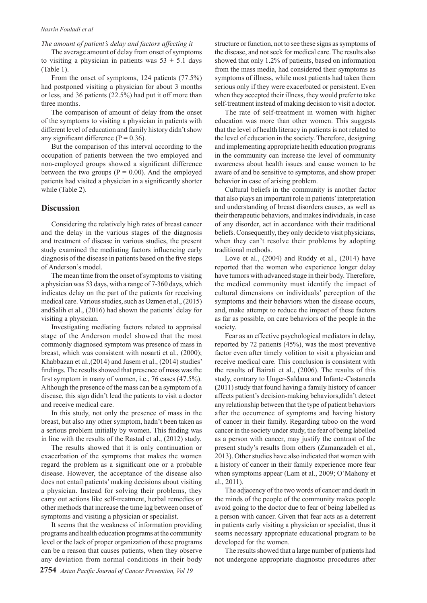#### *Nasrin Fouladi et al*

#### *The amount of patient's delay and factors affecting it*

The average amount of delay from onset of symptoms to visiting a physician in patients was  $53 \pm 5.1$  days (Table 1).

From the onset of symptoms, 124 patients (77.5%) had postponed visiting a physician for about 3 months or less, and 36 patients (22.5%) had put it off more than three months.

The comparison of amount of delay from the onset of the symptoms to visiting a physician in patients with different level of education and family history didn't show any significant difference ( $P = 0.36$ ).

But the comparison of this interval according to the occupation of patients between the two employed and non-employed groups showed a significant difference between the two groups ( $P = 0.00$ ). And the employed patients had visited a physician in a significantly shorter while (Table 2).

#### **Discussion**

Considering the relatively high rates of breast cancer and the delay in the various stages of the diagnosis and treatment of disease in various studies, the present study examined the mediating factors influencing early diagnosis of the disease in patients based on the five steps of Anderson's model.

The mean time from the onset of symptoms to visiting a physician was 53 days, with a range of 7-360 days, which indicates delay on the part of the patients for receiving medical care. Various studies, such as Ozmen et al., (2015) andSalih et al., (2016) had shown the patients' delay for visiting a physician.

Investigating mediating factors related to appraisal stage of the Anderson model showed that the most commonly diagnosed symptom was presence of mass in breast, which was consistent with nosarti et al., (2000); Khabbazan et al.,(2014) and Jasem et al., (2014) studies' findings. The results showed that presence of mass was the first symptom in many of women, i.e., 76 cases (47.5%). Although the presence of the mass can be a symptom of a disease, this sign didn't lead the patients to visit a doctor and receive medical care.

In this study, not only the presence of mass in the breast, but also any other symptom, hadn't been taken as a serious problem initially by women. This finding was in line with the results of the Rastad et al., (2012) study.

The results showed that it is only continuation or exacerbation of the symptoms that makes the women regard the problem as a significant one or a probable disease. However, the acceptance of the disease also does not entail patients' making decisions about visiting a physician. Instead for solving their problems, they carry out actions like self-treatment, herbal remedies or other methods that increase the time lag between onset of symptoms and visiting a physician or specialist.

It seems that the weakness of information providing programs and health education programs at the community level or the lack of proper organization of these programs can be a reason that causes patients, when they observe any deviation from normal conditions in their body structure or function, not to see these signs as symptoms of the disease, and not seek for medical care. The results also showed that only 1.2% of patients, based on information from the mass media, had considered their symptoms as symptoms of illness, while most patients had taken them serious only if they were exacerbated or persistent. Even when they accepted their illness, they would prefer to take self-treatment instead of making decision to visit a doctor.

The rate of self-treatment in women with higher education was more than other women. This suggests that the level of health literacy in patients is not related to the level of education in the society. Therefore, designing and implementing appropriate health education programs in the community can increase the level of community awareness about health issues and cause women to be aware of and be sensitive to symptoms, and show proper behavior in case of arising problem.

Cultural beliefs in the community is another factor that also plays an important role in patients' interpretation and understanding of breast disorders causes, as well as their therapeutic behaviors, and makes individuals, in case of any disorder, act in accordance with their traditional beliefs. Consequently, they only decide to visit physicians, when they can't resolve their problems by adopting traditional methods.

Love et al., (2004) and Ruddy et al., (2014) have reported that the women who experience longer delay have tumors with advanced stage in their body. Therefore, the medical community must identify the impact of cultural dimensions on individuals' perception of the symptoms and their behaviors when the disease occurs, and, make attempt to reduce the impact of these factors as far as possible, on care behaviors of the people in the society.

Fear as an effective psychological mediators in delay, reported by 72 patients (45%), was the most preventive factor even after timely volition to visit a physician and receive medical care. This conclusion is consistent with the results of Bairati et al., (2006). The results of this study, contrary to Unger-Saldana and Infante-Castaneda (2011) study that found having a family history of cancer affects patient's decision-making behaviors,didn't detect any relationship between that the type of patient behaviors after the occurrence of symptoms and having history of cancer in their family. Regarding taboo on the word cancer in the society under study, the fear of being labelled as a person with cancer, may justify the contrast of the present study's results from others (Zamanzadeh et al., 2013). Other studies have also indicated that women with a history of cancer in their family experience more fear when symptoms appear (Lam et al., 2009; O'Mahony et al., 2011).

The adjacency of the two words of cancer and death in the minds of the people of the community makes people avoid going to the doctor due to fear of being labelled as a person with cancer. Given that fear acts as a deterrent in patients early visiting a physician or specialist, thus it seems necessary appropriate educational program to be developed for the women.

The results showed that a large number of patients had not undergone appropriate diagnostic procedures after